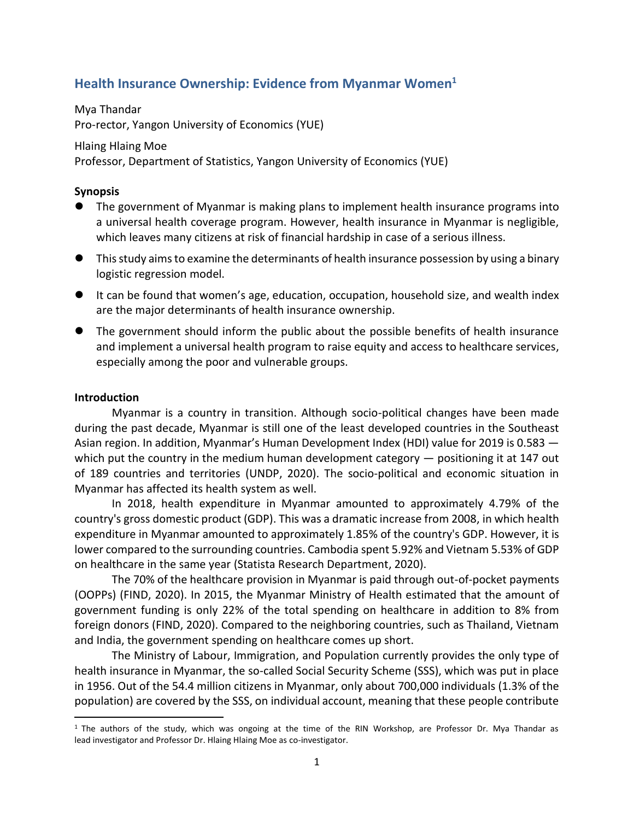# **Health Insurance Ownership: Evidence from Myanmar Women<sup>1</sup>**

Mya Thandar Pro-rector, Yangon University of Economics (YUE)

Hlaing Hlaing Moe

Professor, Department of Statistics, Yangon University of Economics (YUE)

#### **Synopsis**

- The government of Myanmar is making plans to implement health insurance programs into a universal health coverage program. However, health insurance in Myanmar is negligible, which leaves many citizens at risk of financial hardship in case of a serious illness.
- This study aims to examine the determinants of health insurance possession by using a binary logistic regression model.
- It can be found that women's age, education, occupation, household size, and wealth index are the major determinants of health insurance ownership.
- The government should inform the public about the possible benefits of health insurance and implement a universal health program to raise equity and access to healthcare services, especially among the poor and vulnerable groups.

#### **Introduction**

Myanmar is a country in transition. Although socio-political changes have been made during the past decade, Myanmar is still one of the least developed countries in the Southeast Asian region. In addition, Myanmar's Human Development Index (HDI) value for 2019 is 0.583 which put the country in the medium human development category  $-$  positioning it at 147 out of 189 countries and territories (UNDP, 2020). The socio-political and economic situation in Myanmar has affected its health system as well.

In 2018, health expenditure in Myanmar amounted to approximately 4.79% of the country's gross domestic product (GDP). This was a dramatic increase from 2008, in which health expenditure in Myanmar amounted to approximately 1.85% of the country's GDP. However, it is lower compared to the surrounding countries. Cambodia spent 5.92% and Vietnam 5.53% of GDP on healthcare in the same year [\(Statista Research Department,](https://www.statista.com/aboutus/our-research-commitment) 2020).

The 70% of the healthcare provision in Myanmar is paid through out-of-pocket payments (OOPPs) (FIND, 2020). In 2015, the Myanmar Ministry of Health estimated that the amount of government funding is only 22% of the total spending on healthcare in addition to 8% from foreign donors (FIND, 2020). Compared to the neighboring countries, such as Thailand, Vietnam and India, the government spending on healthcare comes up short.

The Ministry of Labour, Immigration, and Population currently provides the only type of health insurance in Myanmar, the so-called Social Security Scheme (SSS), which was put in place in 1956. Out of the 54.4 million citizens in Myanmar, only about 700,000 individuals (1.3% of the population) are covered by the SSS, on individual account, meaning that these people contribute

<sup>1</sup> The authors of the study, which was ongoing at the time of the RIN Workshop, are Professor Dr. Mya Thandar as lead investigator and Professor Dr. Hlaing Hlaing Moe as co-investigator.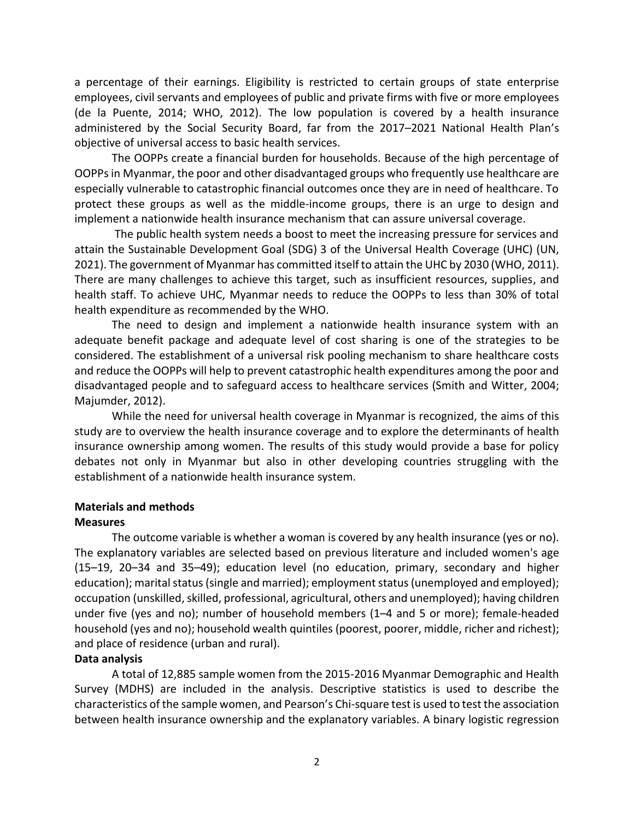a percentage of their earnings. Eligibility is restricted to certain groups of state enterprise employees, civil servants and employees of public and private firms with five or more employees (de la Puente, 2014; WHO, 2012). The low population is covered by a health insurance administered by the Social Security Board, far from the 2017–2021 National Health Plan's objective of universal access to basic health services.

The OOPPs create a financial burden for households. Because of the high percentage of OOPPs in Myanmar, the poor and other disadvantaged groups who frequently use healthcare are especially vulnerable to catastrophic financial outcomes once they are in need of healthcare. To protect these groups as well as the middle-income groups, there is an urge to design and implement a nationwide health insurance mechanism that can assure universal coverage.

The public health system needs a boost to meet the increasing pressure for services and attain the Sustainable Development Goal (SDG) 3 of the Universal Health Coverage (UHC) [\(UN,](https://www.google.com/url?sa=t&rct=j&q=&esrc=s&source=web&cd=&ved=2ahUKEwibnOb0zNrzAhUMeH0KHTziCmwQFnoECBUQAQ&url=https%3A%2F%2Fwww.un.org%2Fdevelopment%2Fdesa%2Fdpad%2Fwp-content%2Fuploads%2Fsites%2F45%2FCDP-PL-2021-4C-VP.pdf&usg=AOvVaw1G7vxaZlCq7LWNaZBipjtN)  [2021\).](https://www.google.com/url?sa=t&rct=j&q=&esrc=s&source=web&cd=&ved=2ahUKEwibnOb0zNrzAhUMeH0KHTziCmwQFnoECBUQAQ&url=https%3A%2F%2Fwww.un.org%2Fdevelopment%2Fdesa%2Fdpad%2Fwp-content%2Fuploads%2Fsites%2F45%2FCDP-PL-2021-4C-VP.pdf&usg=AOvVaw1G7vxaZlCq7LWNaZBipjtN) The government of Myanmar has committed itself to attain the UHC by 2030 (WHO, 2011). There are many challenges to achieve this target, such as insufficient resources, supplies, and health staff. To achieve UHC, Myanmar needs to reduce the OOPPs to less than 30% of total health expenditure as recommended by the WHO.

The need to design and implement a nationwide health insurance system with an adequate benefit package and adequate level of cost sharing is one of the strategies to be considered. The establishment of a universal risk pooling mechanism to share healthcare costs and reduce the OOPPs will help to prevent catastrophic health expenditures among the poor and disadvantaged people and to safeguard access to healthcare services (Smith and Witter, 2004; Majumder, 2012).

While the need for universal health coverage in Myanmar is recognized, the aims of this study are to overview the health insurance coverage and to explore the determinants of health insurance ownership among women. The results of this study would provide a base for policy debates not only in Myanmar but also in other developing countries struggling with the establishment of a nationwide health insurance system.

### **Materials and methods**

### **Measures**

The outcome variable is whether a woman is covered by any health insurance (yes or no). The explanatory variables are selected based on previous literature and included women's age (15–19, 20–34 and 35–49); education level (no education, primary, secondary and higher education); marital status (single and married); employment status (unemployed and employed); occupation (unskilled, skilled, professional, agricultural, others and unemployed); having children under five (yes and no); number of household members (1–4 and 5 or more); female-headed household (yes and no); household wealth quintiles (poorest, poorer, middle, richer and richest); and place of residence (urban and rural).

### **Data analysis**

A total of 12,885 sample women from the 2015-2016 Myanmar Demographic and Health Survey (MDHS) are included in the analysis. Descriptive statistics is used to describe the characteristics of the sample women, and Pearson's Chi-square test is used to test the association between health insurance ownership and the explanatory variables. A binary logistic regression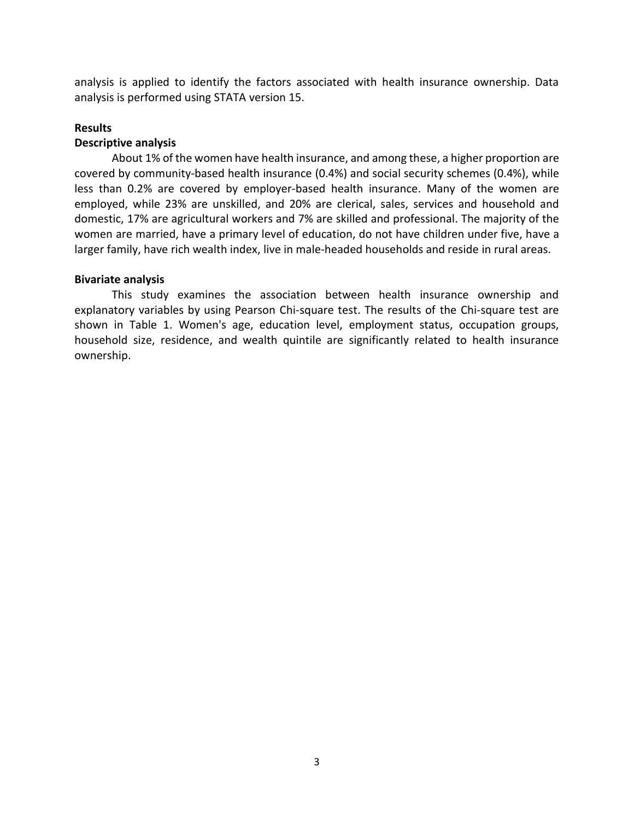analysis is applied to identify the factors associated with health insurance ownership. Data analysis is performed using STATA version 15.

#### **Results**

### **Descriptive analysis**

About 1% of the women have health insurance, and among these, a higher proportion are covered by community-based health insurance (0.4%) and social security schemes (0.4%), while less than 0.2% are covered by employer-based health insurance. Many of the women are employed, while 23% are unskilled, and 20% are clerical, sales, services and household and domestic, 17% are agricultural workers and 7% are skilled and professional. The majority of the women are married, have a primary level of education, do not have children under five, have a larger family, have rich wealth index, live in male-headed households and reside in rural areas.

#### **Bivariate analysis**

This study examines the association between health insurance ownership and explanatory variables by using Pearson Chi-square test. The results of the Chi-square test are shown in Table 1. Women's age, education level, employment status, occupation groups, household size, residence, and wealth quintile are significantly related to health insurance ownership.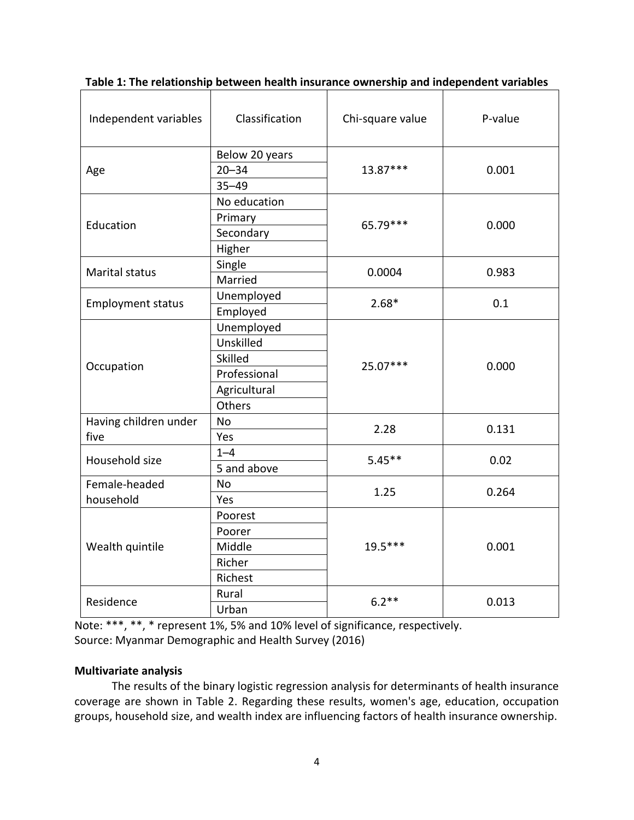| Independent variables    | Classification | Chi-square value | P-value |  |
|--------------------------|----------------|------------------|---------|--|
| Age                      | Below 20 years |                  | 0.001   |  |
|                          | $20 - 34$      | $13.87***$       |         |  |
|                          | $35 - 49$      |                  |         |  |
| Education                | No education   |                  |         |  |
|                          | Primary        |                  |         |  |
|                          | Secondary      | 65.79***         | 0.000   |  |
|                          | Higher         |                  |         |  |
| <b>Marital status</b>    | Single         |                  | 0.983   |  |
|                          | Married        | 0.0004           |         |  |
| <b>Employment status</b> | Unemployed     |                  |         |  |
|                          | Employed       | $2.68*$          | 0.1     |  |
| Occupation               | Unemployed     |                  |         |  |
|                          | Unskilled      |                  |         |  |
|                          | <b>Skilled</b> |                  |         |  |
|                          | Professional   | 25.07***         | 0.000   |  |
|                          | Agricultural   |                  |         |  |
|                          | Others         |                  |         |  |
| Having children under    | <b>No</b>      |                  | 0.131   |  |
| five                     | Yes            | 2.28             |         |  |
| Household size           | $1 - 4$        |                  | 0.02    |  |
|                          | 5 and above    | $5.45**$         |         |  |
| Female-headed            | No             |                  | 0.264   |  |
| household                | Yes            | 1.25             |         |  |
| Wealth quintile          | Poorest        |                  |         |  |
|                          | Poorer         |                  | 0.001   |  |
|                          | Middle         | 19.5***          |         |  |
|                          | Richer         |                  |         |  |
|                          | Richest        |                  |         |  |
| Residence                | Rural          | $6.2**$          |         |  |
|                          | Urban          |                  | 0.013   |  |

**Table 1: The relationship between health insurance ownership and independent variables**

Note: \*\*\*, \*\*, \* represent 1%, 5% and 10% level of significance, respectively. Source: Myanmar Demographic and Health Survey (2016)

### **Multivariate analysis**

The results of the binary logistic regression analysis for determinants of health insurance coverage are shown in Table 2. Regarding these results, women's age, education, occupation groups, household size, and wealth index are influencing factors of health insurance ownership.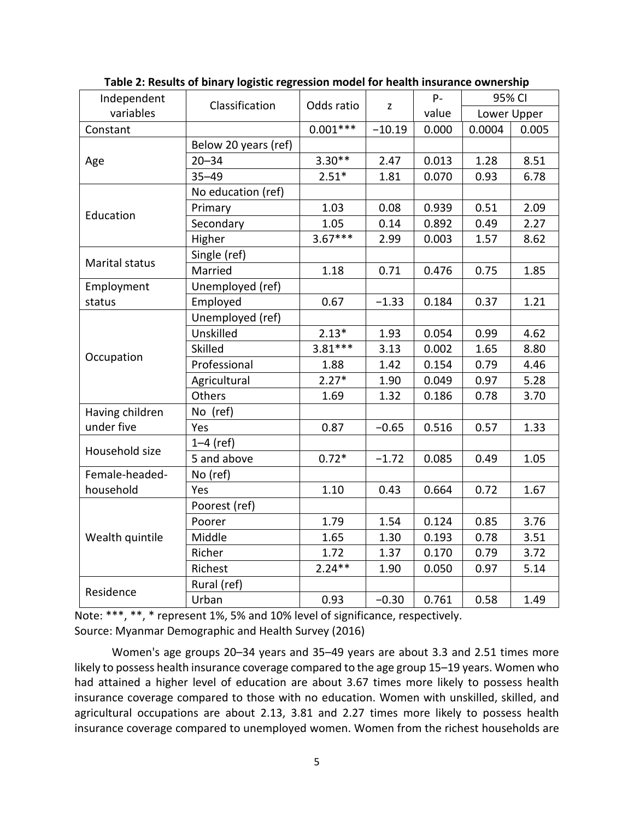| Independent     | Classification       | Odds ratio | $\mathbf{Z}$ | $P -$ | 95% CI      |       |
|-----------------|----------------------|------------|--------------|-------|-------------|-------|
| variables       |                      |            |              | value | Lower Upper |       |
| Constant        |                      | $0.001***$ | $-10.19$     | 0.000 | 0.0004      | 0.005 |
| Age             | Below 20 years (ref) |            |              |       |             |       |
|                 | $20 - 34$            | $3.30**$   | 2.47         | 0.013 | 1.28        | 8.51  |
|                 | $35 - 49$            | $2.51*$    | 1.81         | 0.070 | 0.93        | 6.78  |
| Education       | No education (ref)   |            |              |       |             |       |
|                 | Primary              | 1.03       | 0.08         | 0.939 | 0.51        | 2.09  |
|                 | Secondary            | 1.05       | 0.14         | 0.892 | 0.49        | 2.27  |
|                 | Higher               | $3.67***$  | 2.99         | 0.003 | 1.57        | 8.62  |
| Marital status  | Single (ref)         |            |              |       |             |       |
|                 | Married              | 1.18       | 0.71         | 0.476 | 0.75        | 1.85  |
| Employment      | Unemployed (ref)     |            |              |       |             |       |
| status          | Employed             | 0.67       | $-1.33$      | 0.184 | 0.37        | 1.21  |
| Occupation      | Unemployed (ref)     |            |              |       |             |       |
|                 | Unskilled            | $2.13*$    | 1.93         | 0.054 | 0.99        | 4.62  |
|                 | Skilled              | $3.81***$  | 3.13         | 0.002 | 1.65        | 8.80  |
|                 | Professional         | 1.88       | 1.42         | 0.154 | 0.79        | 4.46  |
|                 | Agricultural         | $2.27*$    | 1.90         | 0.049 | 0.97        | 5.28  |
|                 | Others               | 1.69       | 1.32         | 0.186 | 0.78        | 3.70  |
| Having children | No (ref)             |            |              |       |             |       |
| under five      | Yes                  | 0.87       | $-0.65$      | 0.516 | 0.57        | 1.33  |
| Household size  | $1-4$ (ref)          |            |              |       |             |       |
|                 | 5 and above          | $0.72*$    | $-1.72$      | 0.085 | 0.49        | 1.05  |
| Female-headed-  | No (ref)             |            |              |       |             |       |
| household       | Yes                  | 1.10       | 0.43         | 0.664 | 0.72        | 1.67  |
| Wealth quintile | Poorest (ref)        |            |              |       |             |       |
|                 | Poorer               | 1.79       | 1.54         | 0.124 | 0.85        | 3.76  |
|                 | Middle               | 1.65       | 1.30         | 0.193 | 0.78        | 3.51  |
|                 | Richer               | 1.72       | 1.37         | 0.170 | 0.79        | 3.72  |
|                 | Richest              | $2.24**$   | 1.90         | 0.050 | 0.97        | 5.14  |
| Residence       | Rural (ref)          |            |              |       |             |       |
|                 | Urban                | 0.93       | $-0.30$      | 0.761 | 0.58        | 1.49  |

**Table 2: Results of binary logistic regression model for health insurance ownership**

Note: \*\*\*, \*\*, \* represent 1%, 5% and 10% level of significance, respectively. Source: Myanmar Demographic and Health Survey (2016)

Women's age groups 20–34 years and 35–49 years are about 3.3 and 2.51 times more likely to possess health insurance coverage compared to the age group 15–19 years. Women who had attained a higher level of education are about 3.67 times more likely to possess health insurance coverage compared to those with no education. Women with unskilled, skilled, and agricultural occupations are about 2.13, 3.81 and 2.27 times more likely to possess health insurance coverage compared to unemployed women. Women from the richest households are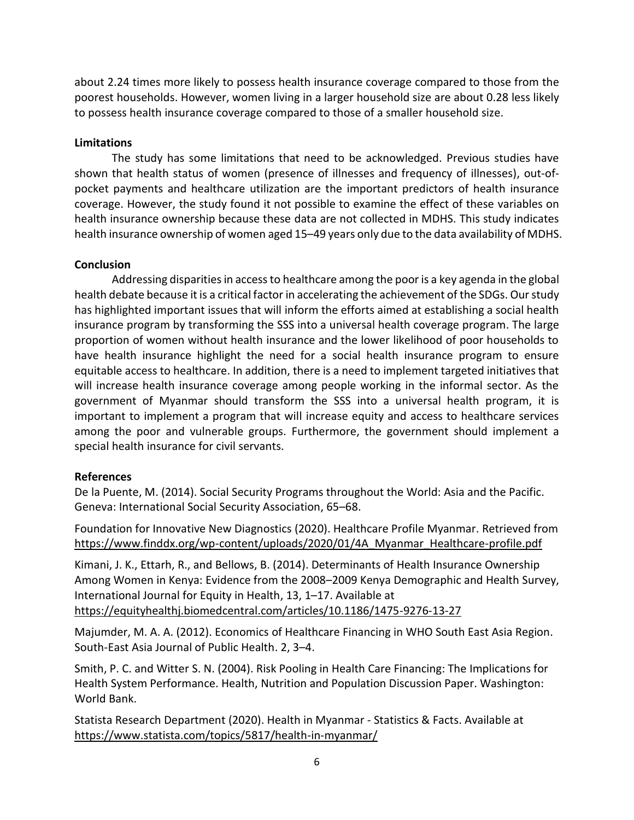about 2.24 times more likely to possess health insurance coverage compared to those from the poorest households. However, women living in a larger household size are about 0.28 less likely to possess health insurance coverage compared to those of a smaller household size.

## **Limitations**

The study has some limitations that need to be acknowledged. Previous studies have shown that health status of women (presence of illnesses and frequency of illnesses), out-ofpocket payments and healthcare utilization are the important predictors of health insurance coverage. However, the study found it not possible to examine the effect of these variables on health insurance ownership because these data are not collected in MDHS. This study indicates health insurance ownership of women aged 15–49 years only due to the data availability of MDHS.

# **Conclusion**

Addressing disparities in access to healthcare among the poor is a key agenda in the global health debate because it is a critical factor in accelerating the achievement of the SDGs. Our study has highlighted important issues that will inform the efforts aimed at establishing a social health insurance program by transforming the SSS into a universal health coverage program. The large proportion of women without health insurance and the lower likelihood of poor households to have health insurance highlight the need for a social health insurance program to ensure equitable access to healthcare. In addition, there is a need to implement targeted initiatives that will increase health insurance coverage among people working in the informal sector. As the government of Myanmar should transform the SSS into a universal health program, it is important to implement a program that will increase equity and access to healthcare services among the poor and vulnerable groups. Furthermore, the government should implement a special health insurance for civil servants.

# **References**

De la Puente, M. (2014). Social Security Programs throughout the World: Asia and the Pacific. Geneva: International Social Security Association, 65–68.

Foundation for Innovative New Diagnostics (2020). Healthcare Profile Myanmar. Retrieved from [https://www.finddx.org/wp-content/uploads/2020/01/4A\\_Myanmar\\_Healthcare-profile.pdf](https://www.finddx.org/wp-content/uploads/2020/01/4A_Myanmar_Healthcare-profile.pdf)

[Kimani,](https://equityhealthj.biomedcentral.com/articles/10.1186/1475-9276-13-27#auth-James_K-Kimani) J. K., [Ettarh,](https://equityhealthj.biomedcentral.com/articles/10.1186/1475-9276-13-27#auth-Remare-Ettarh) R., and [Bellows,](https://equityhealthj.biomedcentral.com/articles/10.1186/1475-9276-13-27#auth-Ben-Bellows) B. (2014). Determinants of Health Insurance Ownership Among Women in Kenya: Evidence from the 2008–2009 Kenya Demographic and Health Survey, [International Journal for Equity in Health,](https://equityhealthj.biomedcentral.com/) 13, 1–17. Available at <https://equityhealthj.biomedcentral.com/articles/10.1186/1475-9276-13-27>

Majumder, M. A. A. (2012). Economics of Healthcare Financing in WHO South East Asia Region. South-East Asia Journal of Public Health. 2, 3–4.

Smith, P. C. and Witter S. N. (2004). Risk Pooling in Health Care Financing: The Implications for Health System Performance. Health, Nutrition and Population Discussion Paper. Washington: World Bank.

[Statista Research Department](https://www.statista.com/aboutus/our-research-commitment) (2020). Health in Myanmar - Statistics & Facts. Available at <https://www.statista.com/topics/5817/health-in-myanmar/>